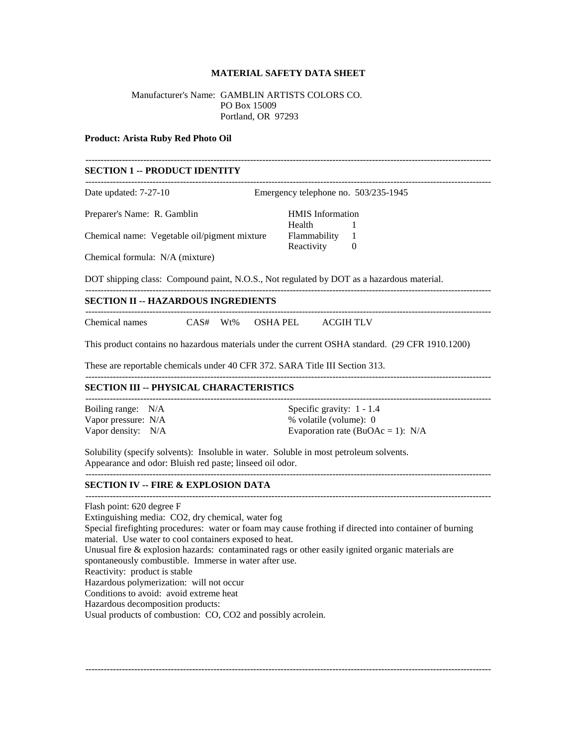## **MATERIAL SAFETY DATA SHEET**

-------------------------------------------------------------------------------------------------------------------------------------

## Manufacturer's Name: GAMBLIN ARTISTS COLORS CO. PO Box 15009 Portland, OR 97293

#### **Product: Arista Ruby Red Photo Oil**

## **SECTION 1 -- PRODUCT IDENTITY**

| Date updated: 7-27-10                        | Emergency telephone no. 503/235-1945 |  |
|----------------------------------------------|--------------------------------------|--|
| Preparer's Name: R. Gamblin                  | <b>HMIS</b> Information              |  |
|                                              | Health                               |  |
| Chemical name: Vegetable oil/pigment mixture | <b>Flammability</b>                  |  |
|                                              | Reactivity                           |  |
| Chemical formula: N/A (mixture)              |                                      |  |

-------------------------------------------------------------------------------------------------------------------------------------

DOT shipping class: Compound paint, N.O.S., Not regulated by DOT as a hazardous material.

## **SECTION II -- HAZARDOUS INGREDIENTS**

| Chemical names | AS# | $^7$ t%<br>$\mathbf{w}$ | A LITT | $\rightarrow$ $\sim$ $\sim$ $\sim$ $\sim$ |
|----------------|-----|-------------------------|--------|-------------------------------------------|

This product contains no hazardous materials under the current OSHA standard. (29 CFR 1910.1200)

-------------------------------------------------------------------------------------------------------------------------------------

These are reportable chemicals under 40 CFR 372. SARA Title III Section 313.

## **SECTION III -- PHYSICAL CHARACTERISTICS**

| Boiling range: N/A   | Specific gravity: $1 - 1.4$         |
|----------------------|-------------------------------------|
| Vapor pressure: N/A  | % volatile (volume): 0              |
| Vapor density: $N/A$ | Evaporation rate (BuOAc = 1): $N/A$ |

Solubility (specify solvents): Insoluble in water. Soluble in most petroleum solvents. Appearance and odor: Bluish red paste; linseed oil odor.

#### **SECTION IV -- FIRE & EXPLOSION DATA**

Flash point: 620 degree F Extinguishing media: CO2, dry chemical, water fog Special firefighting procedures: water or foam may cause frothing if directed into container of burning material. Use water to cool containers exposed to heat. Unusual fire & explosion hazards: contaminated rags or other easily ignited organic materials are spontaneously combustible. Immerse in water after use. Reactivity: product is stable Hazardous polymerization: will not occur Conditions to avoid: avoid extreme heat Hazardous decomposition products: Usual products of combustion: CO, CO2 and possibly acrolein.

-------------------------------------------------------------------------------------------------------------------------------------

-------------------------------------------------------------------------------------------------------------------------------------

-------------------------------------------------------------------------------------------------------------------------------------